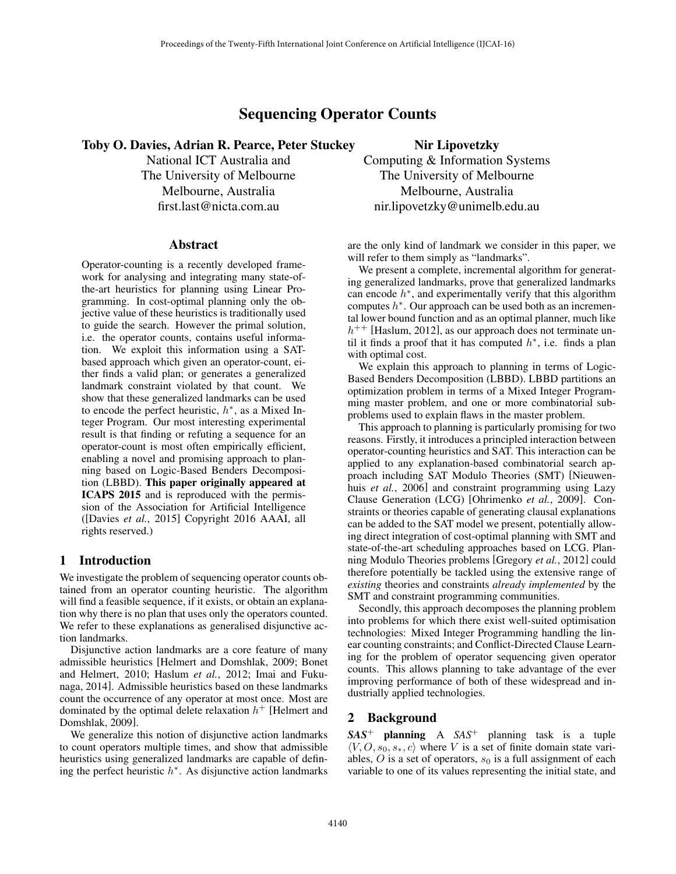# Sequencing Operator Counts

Toby O. Davies, Adrian R. Pearce, Peter Stuckey

National ICT Australia and The University of Melbourne Melbourne, Australia first.last@nicta.com.au

#### Abstract

Operator-counting is a recently developed framework for analysing and integrating many state-ofthe-art heuristics for planning using Linear Programming. In cost-optimal planning only the objective value of these heuristics is traditionally used to guide the search. However the primal solution, i.e. the operator counts, contains useful information. We exploit this information using a SATbased approach which given an operator-count, either finds a valid plan; or generates a generalized landmark constraint violated by that count. We show that these generalized landmarks can be used to encode the perfect heuristic,  $h^*$ , as a Mixed Integer Program. Our most interesting experimental result is that finding or refuting a sequence for an operator-count is most often empirically efficient, enabling a novel and promising approach to planning based on Logic-Based Benders Decomposition (LBBD). This paper originally appeared at ICAPS 2015 and is reproduced with the permission of the Association for Artificial Intelligence ([Davies *et al.*, 2015] Copyright 2016 AAAI, all rights reserved.)

#### 1 Introduction

We investigate the problem of sequencing operator counts obtained from an operator counting heuristic. The algorithm will find a feasible sequence, if it exists, or obtain an explanation why there is no plan that uses only the operators counted. We refer to these explanations as generalised disjunctive action landmarks.

Disjunctive action landmarks are a core feature of many admissible heuristics [Helmert and Domshlak, 2009; Bonet and Helmert, 2010; Haslum *et al.*, 2012; Imai and Fukunaga, 2014]. Admissible heuristics based on these landmarks count the occurrence of any operator at most once. Most are dominated by the optimal delete relaxation *h*<sup>+</sup> [Helmert and Domshlak, 2009].

We generalize this notion of disjunctive action landmarks to count operators multiple times, and show that admissible heuristics using generalized landmarks are capable of defining the perfect heuristic  $h^*$ . As disjunctive action landmarks

Nir Lipovetzky Computing & Information Systems The University of Melbourne Melbourne, Australia nir.lipovetzky@unimelb.edu.au

are the only kind of landmark we consider in this paper, we will refer to them simply as "landmarks".

We present a complete, incremental algorithm for generating generalized landmarks, prove that generalized landmarks can encode  $h^*$ , and experimentally verify that this algorithm computes  $h^*$ . Our approach can be used both as an incremental lower bound function and as an optimal planner, much like  $h^{++}$  [Haslum, 2012], as our approach does not terminate until it finds a proof that it has computed  $h^*$ , i.e. finds a plan with optimal cost.

We explain this approach to planning in terms of Logic-Based Benders Decomposition (LBBD). LBBD partitions an optimization problem in terms of a Mixed Integer Programming master problem, and one or more combinatorial subproblems used to explain flaws in the master problem.

This approach to planning is particularly promising for two reasons. Firstly, it introduces a principled interaction between operator-counting heuristics and SAT. This interaction can be applied to any explanation-based combinatorial search approach including SAT Modulo Theories (SMT) [Nieuwenhuis *et al.*, 2006] and constraint programming using Lazy Clause Generation (LCG) [Ohrimenko *et al.*, 2009]. Constraints or theories capable of generating clausal explanations can be added to the SAT model we present, potentially allowing direct integration of cost-optimal planning with SMT and state-of-the-art scheduling approaches based on LCG. Planning Modulo Theories problems [Gregory *et al.*, 2012] could therefore potentially be tackled using the extensive range of *existing* theories and constraints *already implemented* by the SMT and constraint programming communities.

Secondly, this approach decomposes the planning problem into problems for which there exist well-suited optimisation technologies: Mixed Integer Programming handling the linear counting constraints; and Conflict-Directed Clause Learning for the problem of operator sequencing given operator counts. This allows planning to take advantage of the ever improving performance of both of these widespread and industrially applied technologies.

# 2 Background

*SAS*<sup>+</sup> planning A *SAS*<sup>+</sup> planning task is a tuple  $\langle V, O, s_0, s_*, c \rangle$  where *V* is a set of finite domain state variables,  $O$  is a set of operators,  $s<sub>0</sub>$  is a full assignment of each variable to one of its values representing the initial state, and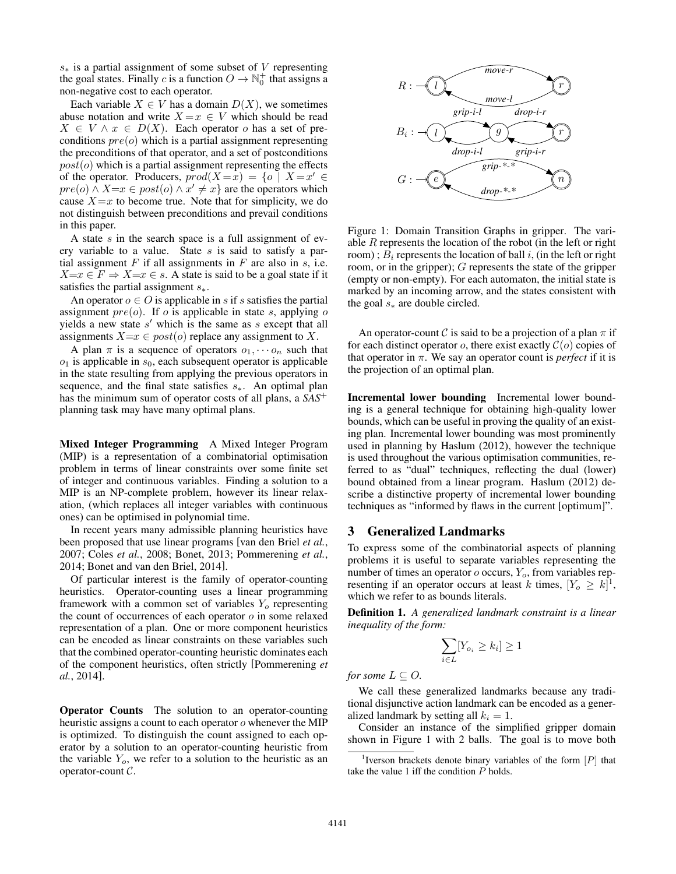$s$ <sup> $\ast$ </sup> is a partial assignment of some subset of *V* representing the goal states. Finally *c* is a function  $O \to \mathbb{N}_0^+$  that assigns a non-negative cost to each operator.

Each variable  $X \in V$  has a domain  $D(X)$ , we sometimes abuse notation and write  $X = x \in V$  which should be read  $X \in V \wedge x \in D(X)$ . Each operator *o* has a set of preconditions *pre*(*o*) which is a partial assignment representing the preconditions of that operator, and a set of postconditions  $post(o)$  which is a partial assignment representing the effects of the operator. Producers,  $prod(X = x) = \{o \mid X = x' \in$  $pre(o) \wedge X = x \in post(o) \wedge x' \neq x$  are the operators which cause  $X = x$  to become true. Note that for simplicity, we do not distinguish between preconditions and prevail conditions in this paper.

A state *s* in the search space is a full assignment of every variable to a value. State *s* is said to satisfy a partial assignment  $F$  if all assignments in  $F$  are also in  $s$ , i.e.  $X=x \in F \Rightarrow X=x \in s$ . A state is said to be a goal state if it satisfies the partial assignment  $s_$ <sup>\*</sup>.

An operator  $o \in O$  is applicable in *s* if *s* satisfies the partial assignment *pre*(*o*). If *o* is applicable in state *s*, applying *o* yields a new state  $s'$  which is the same as  $s$  except that all assignments  $X=x \in post(o)$  replace any assignment to X.

A plan  $\pi$  is a sequence of operators  $o_1, \dots, o_n$  such that *o*<sup>1</sup> is applicable in *s*0, each subsequent operator is applicable in the state resulting from applying the previous operators in sequence, and the final state satisfies  $s_$ . An optimal plan has the minimum sum of operator costs of all plans, a *SAS*<sup>+</sup> planning task may have many optimal plans.

Mixed Integer Programming A Mixed Integer Program (MIP) is a representation of a combinatorial optimisation problem in terms of linear constraints over some finite set of integer and continuous variables. Finding a solution to a MIP is an NP-complete problem, however its linear relaxation, (which replaces all integer variables with continuous ones) can be optimised in polynomial time.

In recent years many admissible planning heuristics have been proposed that use linear programs [van den Briel *et al.*, 2007; Coles *et al.*, 2008; Bonet, 2013; Pommerening *et al.*, 2014; Bonet and van den Briel, 2014].

Of particular interest is the family of operator-counting heuristics. Operator-counting uses a linear programming framework with a common set of variables *Y<sup>o</sup>* representing the count of occurrences of each operator *o* in some relaxed representation of a plan. One or more component heuristics can be encoded as linear constraints on these variables such that the combined operator-counting heuristic dominates each of the component heuristics, often strictly [Pommerening *et al.*, 2014].

Operator Counts The solution to an operator-counting heuristic assigns a count to each operator *o* whenever the MIP is optimized. To distinguish the count assigned to each operator by a solution to an operator-counting heuristic from the variable  $Y<sub>o</sub>$ , we refer to a solution to the heuristic as an operator-count *C*.



Figure 1: Domain Transition Graphs in gripper. The variable *R* represents the location of the robot (in the left or right room);  $B_i$  represents the location of ball *i*, (in the left or right room, or in the gripper); *G* represents the state of the gripper (empty or non-empty). For each automaton, the initial state is marked by an incoming arrow, and the states consistent with the goal  $s$ <sup> $\ast$ </sup> are double circled.

An operator-count *C* is said to be a projection of a plan  $\pi$  if for each distinct operator *o*, there exist exactly  $C$ (*o*) copies of that operator in  $\pi$ . We say an operator count is *perfect* if it is the projection of an optimal plan.

Incremental lower bounding Incremental lower bounding is a general technique for obtaining high-quality lower bounds, which can be useful in proving the quality of an existing plan. Incremental lower bounding was most prominently used in planning by Haslum (2012), however the technique is used throughout the various optimisation communities, referred to as "dual" techniques, reflecting the dual (lower) bound obtained from a linear program. Haslum (2012) describe a distinctive property of incremental lower bounding techniques as "informed by flaws in the current [optimum]".

# 3 Generalized Landmarks

To express some of the combinatorial aspects of planning problems it is useful to separate variables representing the number of times an operator *o* occurs, *Yo*, from variables representing if an operator occurs at least *k* times,  $[Y_o \geq k]^1$ , which we refer to as bounds literals.

Definition 1. *A generalized landmark constraint is a linear inequality of the form:*

$$
\sum_{i \in L} [Y_{o_i} \ge k_i] \ge 1
$$

*for some*  $L \subset O$ *.* 

We call these generalized landmarks because any traditional disjunctive action landmark can be encoded as a generalized landmark by setting all  $k_i = 1$ .

Consider an instance of the simplified gripper domain shown in Figure 1 with 2 balls. The goal is to move both

<sup>1</sup> Iverson brackets denote binary variables of the form [*P*] that take the value 1 iff the condition *P* holds.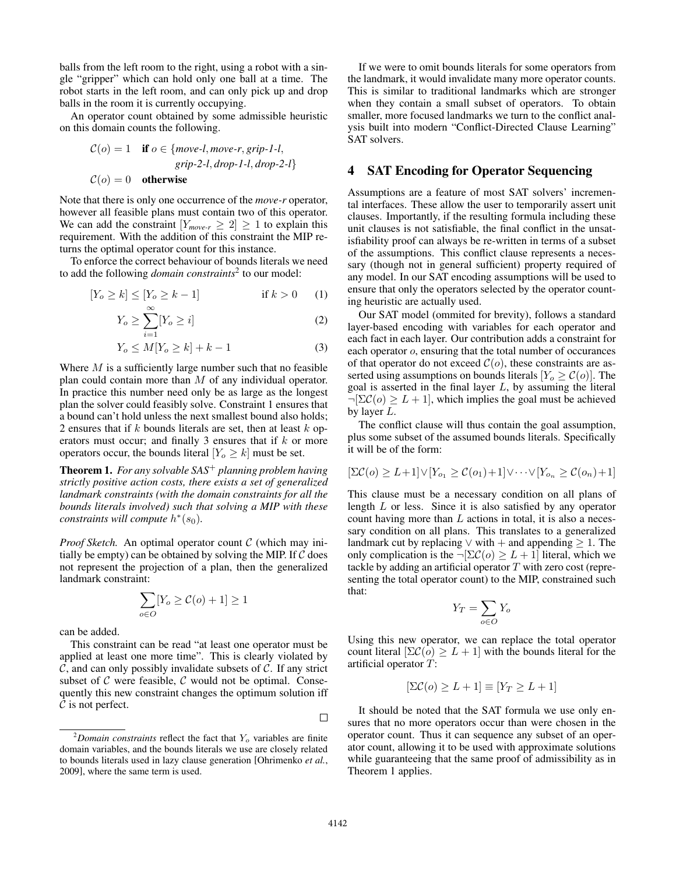balls from the left room to the right, using a robot with a single "gripper" which can hold only one ball at a time. The robot starts in the left room, and can only pick up and drop balls in the room it is currently occupying.

An operator count obtained by some admissible heuristic on this domain counts the following.

$$
C(o) = 1
$$
 if  $o \in \{move-l, move-r, grip-l-l, \text{} \text{grip-2-l}, drop-l-l, drop-2-l \}$   

$$
C(o) = 0
$$
 otherwise

Note that there is only one occurrence of the *move-r* operator, however all feasible plans must contain two of this operator. We can add the constraint  $[Y_{move-r} \geq 2] \geq 1$  to explain this requirement. With the addition of this constraint the MIP returns the optimal operator count for this instance.

To enforce the correct behaviour of bounds literals we need to add the following *domain constraints*<sup>2</sup> to our model:

$$
[Y_o \ge k] \le [Y_o \ge k - 1] \qquad \text{if } k > 0 \qquad (1)
$$

$$
Y_o \ge \sum_{i=1}^{\infty} [Y_o \ge i]
$$
 (2)

$$
Y_o \le M[Y_o \ge k] + k - 1 \tag{3}
$$

Where *M* is a sufficiently large number such that no feasible plan could contain more than *M* of any individual operator. In practice this number need only be as large as the longest plan the solver could feasibly solve. Constraint 1 ensures that a bound can't hold unless the next smallest bound also holds; 2 ensures that if *k* bounds literals are set, then at least *k* operators must occur; and finally 3 ensures that if *k* or more operators occur, the bounds literal  $[Y_o \geq k]$  must be set.

Theorem 1. *For any solvable SAS*<sup>+</sup> *planning problem having strictly positive action costs, there exists a set of generalized landmark constraints (with the domain constraints for all the bounds literals involved) such that solving a MIP with these constraints will compute*  $h^*(s_0)$ *.* 

*Proof Sketch.* An optimal operator count *C* (which may initially be empty) can be obtained by solving the MIP. If *C* does not represent the projection of a plan, then the generalized landmark constraint:

$$
\sum_{o \in O} [Y_o \ge C(o) + 1] \ge 1
$$

can be added.

This constraint can be read "at least one operator must be applied at least one more time". This is clearly violated by *C*, and can only possibly invalidate subsets of *C*. If any strict subset of *C* were feasible, *C* would not be optimal. Consequently this new constraint changes the optimum solution iff *C* is not perfect.

If we were to omit bounds literals for some operators from the landmark, it would invalidate many more operator counts. This is similar to traditional landmarks which are stronger when they contain a small subset of operators. To obtain smaller, more focused landmarks we turn to the conflict analysis built into modern "Conflict-Directed Clause Learning" SAT solvers.

# 4 SAT Encoding for Operator Sequencing

Assumptions are a feature of most SAT solvers' incremental interfaces. These allow the user to temporarily assert unit clauses. Importantly, if the resulting formula including these unit clauses is not satisfiable, the final conflict in the unsatisfiability proof can always be re-written in terms of a subset of the assumptions. This conflict clause represents a necessary (though not in general sufficient) property required of any model. In our SAT encoding assumptions will be used to ensure that only the operators selected by the operator counting heuristic are actually used.

Our SAT model (ommited for brevity), follows a standard layer-based encoding with variables for each operator and each fact in each layer. Our contribution adds a constraint for each operator *o*, ensuring that the total number of occurances of that operator do not exceed  $C$ ( $o$ ), these constraints are asserted using assumptions on bounds literals  $[Y_o \ge C(o)]$ . The goal is asserted in the final layer *L*, by assuming the literal  $\neg[\Sigma \mathcal{C}(o) \geq L + 1]$ , which implies the goal must be achieved by layer *L*.

The conflict clause will thus contain the goal assumption, plus some subset of the assumed bounds literals. Specifically it will be of the form:

$$
[\Sigma \mathcal{C}(o) \ge L+1] \vee [Y_{o_1} \ge \mathcal{C}(o_1)+1] \vee \cdots \vee [Y_{o_n} \ge \mathcal{C}(o_n)+1]
$$

This clause must be a necessary condition on all plans of length *L* or less. Since it is also satisfied by any operator count having more than *L* actions in total, it is also a necessary condition on all plans. This translates to a generalized landmark cut by replacing  $\vee$  with  $+$  and appending  $\geq 1$ . The only complication is the  $\neg \left[\Sigma \mathcal{C}(o) \geq L+1\right]$  literal, which we tackle by adding an artificial operator *T* with zero cost (representing the total operator count) to the MIP, constrained such that:

$$
Y_T = \sum_{o \in O} Y_o
$$

Using this new operator, we can replace the total operator count literal  $[\Sigma \mathcal{C}(o) > L + 1]$  with the bounds literal for the artificial operator *T*:

$$
[\Sigma \mathcal{C}(o) \ge L + 1] \equiv [Y_T \ge L + 1]
$$

It should be noted that the SAT formula we use only ensures that no more operators occur than were chosen in the operator count. Thus it can sequence any subset of an operator count, allowing it to be used with approximate solutions while guaranteeing that the same proof of admissibility as in Theorem 1 applies.

 $\Box$ 

<sup>2</sup> *Domain constraints* reflect the fact that *Y<sup>o</sup>* variables are finite domain variables, and the bounds literals we use are closely related to bounds literals used in lazy clause generation [Ohrimenko *et al.*, 2009], where the same term is used.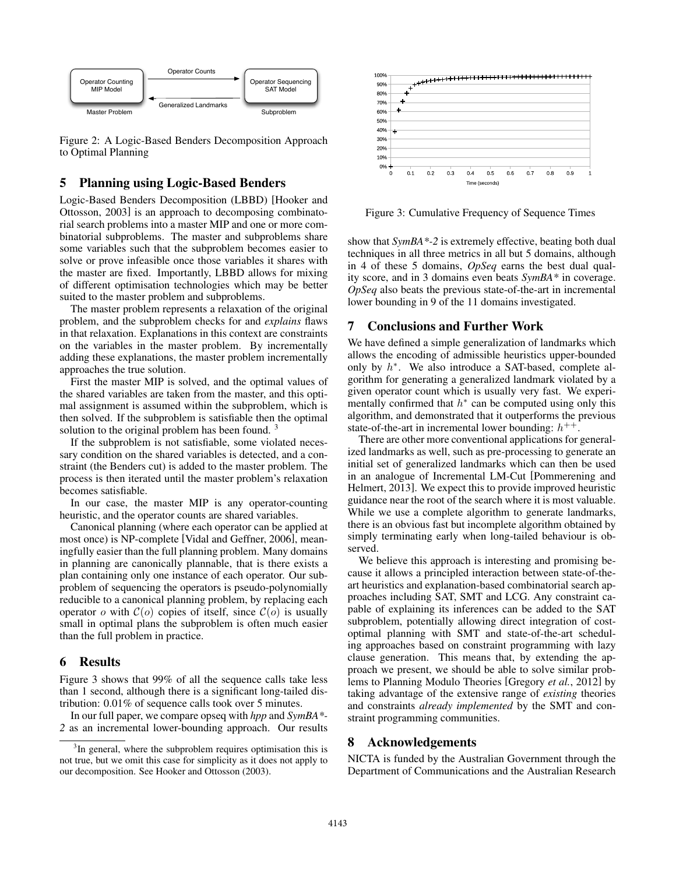

Figure 2: A Logic-Based Benders Decomposition Approach to Optimal Planning

#### 5 Planning using Logic-Based Benders

Logic-Based Benders Decomposition (LBBD) [Hooker and Ottosson, 2003] is an approach to decomposing combinatorial search problems into a master MIP and one or more combinatorial subproblems. The master and subproblems share some variables such that the subproblem becomes easier to solve or prove infeasible once those variables it shares with the master are fixed. Importantly, LBBD allows for mixing of different optimisation technologies which may be better suited to the master problem and subproblems.

The master problem represents a relaxation of the original problem, and the subproblem checks for and *explains* flaws in that relaxation. Explanations in this context are constraints on the variables in the master problem. By incrementally adding these explanations, the master problem incrementally approaches the true solution.

First the master MIP is solved, and the optimal values of the shared variables are taken from the master, and this optimal assignment is assumed within the subproblem, which is then solved. If the subproblem is satisfiable then the optimal solution to the original problem has been found.<sup>3</sup>

If the subproblem is not satisfiable, some violated necessary condition on the shared variables is detected, and a constraint (the Benders cut) is added to the master problem. The process is then iterated until the master problem's relaxation becomes satisfiable.

In our case, the master MIP is any operator-counting heuristic, and the operator counts are shared variables.

Canonical planning (where each operator can be applied at most once) is NP-complete [Vidal and Geffner, 2006], meaningfully easier than the full planning problem. Many domains in planning are canonically plannable, that is there exists a plan containing only one instance of each operator. Our subproblem of sequencing the operators is pseudo-polynomially reducible to a canonical planning problem, by replacing each operator *o* with  $C(o)$  copies of itself, since  $C(o)$  is usually small in optimal plans the subproblem is often much easier than the full problem in practice.

# 6 Results

Figure 3 shows that 99% of all the sequence calls take less than 1 second, although there is a significant long-tailed distribution: 0.01% of sequence calls took over 5 minutes.

In our full paper, we compare opseq with *hpp* and *SymBA\*- 2* as an incremental lower-bounding approach. Our results



Figure 3: Cumulative Frequency of Sequence Times

show that *SymBA\*-2* is extremely effective, beating both dual techniques in all three metrics in all but 5 domains, although in 4 of these 5 domains, *OpSeq* earns the best dual quality score, and in 3 domains even beats *SymBA\** in coverage. *OpSeq* also beats the previous state-of-the-art in incremental lower bounding in 9 of the 11 domains investigated.

### 7 Conclusions and Further Work

We have defined a simple generalization of landmarks which allows the encoding of admissible heuristics upper-bounded only by  $h^*$ . We also introduce a SAT-based, complete algorithm for generating a generalized landmark violated by a given operator count which is usually very fast. We experimentally confirmed that  $h^*$  can be computed using only this algorithm, and demonstrated that it outperforms the previous state-of-the-art in incremental lower bounding:  $h^{++}$ .

There are other more conventional applications for generalized landmarks as well, such as pre-processing to generate an initial set of generalized landmarks which can then be used in an analogue of Incremental LM-Cut [Pommerening and Helmert, 2013]. We expect this to provide improved heuristic guidance near the root of the search where it is most valuable. While we use a complete algorithm to generate landmarks, there is an obvious fast but incomplete algorithm obtained by simply terminating early when long-tailed behaviour is observed.

We believe this approach is interesting and promising because it allows a principled interaction between state-of-theart heuristics and explanation-based combinatorial search approaches including SAT, SMT and LCG. Any constraint capable of explaining its inferences can be added to the SAT subproblem, potentially allowing direct integration of costoptimal planning with SMT and state-of-the-art scheduling approaches based on constraint programming with lazy clause generation. This means that, by extending the approach we present, we should be able to solve similar problems to Planning Modulo Theories [Gregory *et al.*, 2012] by taking advantage of the extensive range of *existing* theories and constraints *already implemented* by the SMT and constraint programming communities.

#### 8 Acknowledgements

NICTA is funded by the Australian Government through the Department of Communications and the Australian Research

<sup>&</sup>lt;sup>3</sup>In general, where the subproblem requires optimisation this is not true, but we omit this case for simplicity as it does not apply to our decomposition. See Hooker and Ottosson (2003).